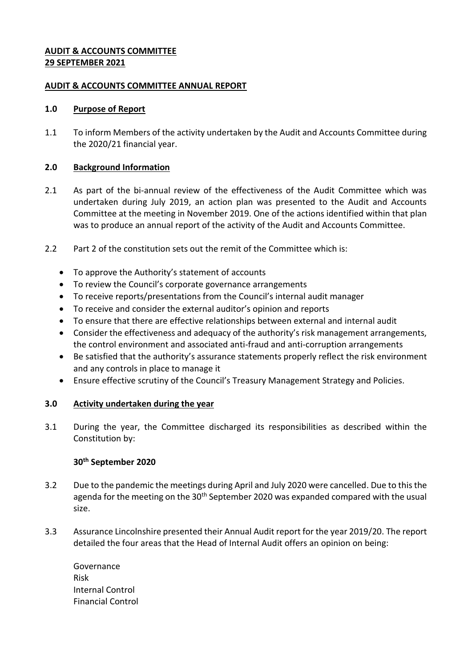### **AUDIT & ACCOUNTS COMMITTEE 29 SEPTEMBER 2021**

### **AUDIT & ACCOUNTS COMMITTEE ANNUAL REPORT**

### **1.0 Purpose of Report**

1.1 To inform Members of the activity undertaken by the Audit and Accounts Committee during the 2020/21 financial year.

# **2.0 Background Information**

- 2.1 As part of the bi-annual review of the effectiveness of the Audit Committee which was undertaken during July 2019, an action plan was presented to the Audit and Accounts Committee at the meeting in November 2019. One of the actions identified within that plan was to produce an annual report of the activity of the Audit and Accounts Committee.
- 2.2 Part 2 of the constitution sets out the remit of the Committee which is:
	- To approve the Authority's statement of accounts
	- To review the Council's corporate governance arrangements
	- To receive reports/presentations from the Council's internal audit manager
	- To receive and consider the external auditor's opinion and reports
	- To ensure that there are effective relationships between external and internal audit
	- Consider the effectiveness and adequacy of the authority's risk management arrangements, the control environment and associated anti-fraud and anti-corruption arrangements
	- Be satisfied that the authority's assurance statements properly reflect the risk environment and any controls in place to manage it
	- Ensure effective scrutiny of the Council's Treasury Management Strategy and Policies.

# **3.0 Activity undertaken during the year**

3.1 During the year, the Committee discharged its responsibilities as described within the Constitution by:

#### **30th September 2020**

- 3.2 Due to the pandemic the meetings during April and July 2020 were cancelled. Due to this the agenda for the meeting on the  $30<sup>th</sup>$  September 2020 was expanded compared with the usual size.
- 3.3 Assurance Lincolnshire presented their Annual Audit report for the year 2019/20. The report detailed the four areas that the Head of Internal Audit offers an opinion on being:

Governance Risk Internal Control Financial Control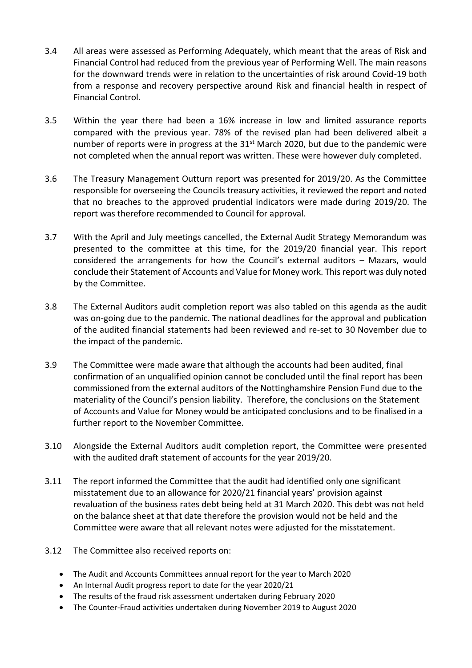- 3.4 All areas were assessed as Performing Adequately, which meant that the areas of Risk and Financial Control had reduced from the previous year of Performing Well. The main reasons for the downward trends were in relation to the uncertainties of risk around Covid-19 both from a response and recovery perspective around Risk and financial health in respect of Financial Control.
- 3.5 Within the year there had been a 16% increase in low and limited assurance reports compared with the previous year. 78% of the revised plan had been delivered albeit a number of reports were in progress at the  $31<sup>st</sup>$  March 2020, but due to the pandemic were not completed when the annual report was written. These were however duly completed.
- 3.6 The Treasury Management Outturn report was presented for 2019/20. As the Committee responsible for overseeing the Councils treasury activities, it reviewed the report and noted that no breaches to the approved prudential indicators were made during 2019/20. The report was therefore recommended to Council for approval.
- 3.7 With the April and July meetings cancelled, the External Audit Strategy Memorandum was presented to the committee at this time, for the 2019/20 financial year. This report considered the arrangements for how the Council's external auditors – Mazars, would conclude their Statement of Accounts and Value for Money work. This report was duly noted by the Committee.
- 3.8 The External Auditors audit completion report was also tabled on this agenda as the audit was on-going due to the pandemic. The national deadlines for the approval and publication of the audited financial statements had been reviewed and re-set to 30 November due to the impact of the pandemic.
- 3.9 The Committee were made aware that although the accounts had been audited, final confirmation of an unqualified opinion cannot be concluded until the final report has been commissioned from the external auditors of the Nottinghamshire Pension Fund due to the materiality of the Council's pension liability. Therefore, the conclusions on the Statement of Accounts and Value for Money would be anticipated conclusions and to be finalised in a further report to the November Committee.
- 3.10 Alongside the External Auditors audit completion report, the Committee were presented with the audited draft statement of accounts for the year 2019/20.
- 3.11 The report informed the Committee that the audit had identified only one significant misstatement due to an allowance for 2020/21 financial years' provision against revaluation of the business rates debt being held at 31 March 2020. This debt was not held on the balance sheet at that date therefore the provision would not be held and the Committee were aware that all relevant notes were adjusted for the misstatement.
- 3.12 The Committee also received reports on:
	- The Audit and Accounts Committees annual report for the year to March 2020
	- An Internal Audit progress report to date for the year 2020/21
	- The results of the fraud risk assessment undertaken during February 2020
	- The Counter-Fraud activities undertaken during November 2019 to August 2020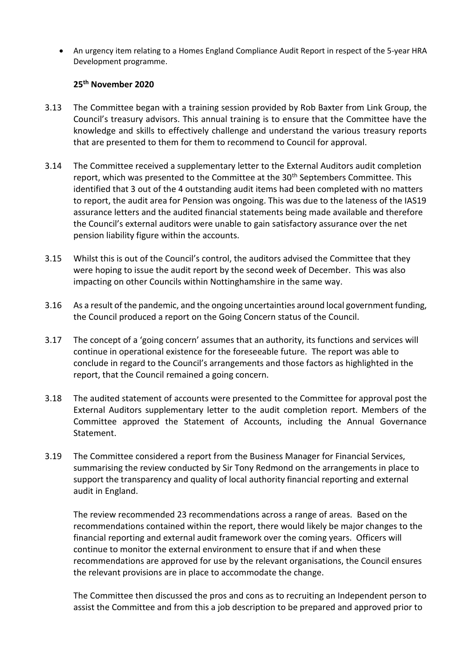An urgency item relating to a Homes England Compliance Audit Report in respect of the 5-year HRA Development programme.

# **25 th November 2020**

- 3.13 The Committee began with a training session provided by Rob Baxter from Link Group, the Council's treasury advisors. This annual training is to ensure that the Committee have the knowledge and skills to effectively challenge and understand the various treasury reports that are presented to them for them to recommend to Council for approval.
- 3.14 The Committee received a supplementary letter to the External Auditors audit completion report, which was presented to the Committee at the 30<sup>th</sup> Septembers Committee. This identified that 3 out of the 4 outstanding audit items had been completed with no matters to report, the audit area for Pension was ongoing. This was due to the lateness of the IAS19 assurance letters and the audited financial statements being made available and therefore the Council's external auditors were unable to gain satisfactory assurance over the net pension liability figure within the accounts.
- 3.15 Whilst this is out of the Council's control, the auditors advised the Committee that they were hoping to issue the audit report by the second week of December. This was also impacting on other Councils within Nottinghamshire in the same way.
- 3.16 As a result of the pandemic, and the ongoing uncertainties around local government funding, the Council produced a report on the Going Concern status of the Council.
- 3.17 The concept of a 'going concern' assumes that an authority, its functions and services will continue in operational existence for the foreseeable future. The report was able to conclude in regard to the Council's arrangements and those factors as highlighted in the report, that the Council remained a going concern.
- 3.18 The audited statement of accounts were presented to the Committee for approval post the External Auditors supplementary letter to the audit completion report. Members of the Committee approved the Statement of Accounts, including the Annual Governance Statement.
- 3.19 The Committee considered a report from the Business Manager for Financial Services, summarising the review conducted by Sir Tony Redmond on the arrangements in place to support the transparency and quality of local authority financial reporting and external audit in England.

The review recommended 23 recommendations across a range of areas. Based on the recommendations contained within the report, there would likely be major changes to the financial reporting and external audit framework over the coming years. Officers will continue to monitor the external environment to ensure that if and when these recommendations are approved for use by the relevant organisations, the Council ensures the relevant provisions are in place to accommodate the change.

The Committee then discussed the pros and cons as to recruiting an Independent person to assist the Committee and from this a job description to be prepared and approved prior to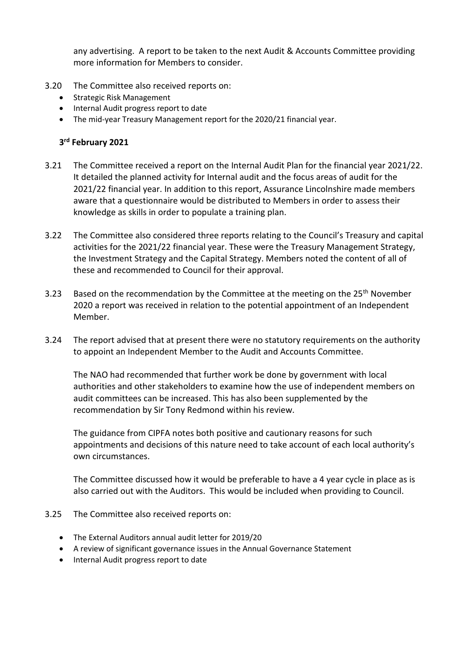any advertising. A report to be taken to the next Audit & Accounts Committee providing more information for Members to consider.

- 3.20 The Committee also received reports on:
	- Strategic Risk Management
	- Internal Audit progress report to date
	- The mid-year Treasury Management report for the 2020/21 financial year.

# **3 rd February 2021**

- 3.21 The Committee received a report on the Internal Audit Plan for the financial year 2021/22. It detailed the planned activity for Internal audit and the focus areas of audit for the 2021/22 financial year. In addition to this report, Assurance Lincolnshire made members aware that a questionnaire would be distributed to Members in order to assess their knowledge as skills in order to populate a training plan.
- 3.22 The Committee also considered three reports relating to the Council's Treasury and capital activities for the 2021/22 financial year. These were the Treasury Management Strategy, the Investment Strategy and the Capital Strategy. Members noted the content of all of these and recommended to Council for their approval.
- 3.23 Based on the recommendation by the Committee at the meeting on the 25<sup>th</sup> November 2020 a report was received in relation to the potential appointment of an Independent Member.
- 3.24 The report advised that at present there were no statutory requirements on the authority to appoint an Independent Member to the Audit and Accounts Committee.

The NAO had recommended that further work be done by government with local authorities and other stakeholders to examine how the use of independent members on audit committees can be increased. This has also been supplemented by the recommendation by Sir Tony Redmond within his review.

The guidance from CIPFA notes both positive and cautionary reasons for such appointments and decisions of this nature need to take account of each local authority's own circumstances.

The Committee discussed how it would be preferable to have a 4 year cycle in place as is also carried out with the Auditors. This would be included when providing to Council.

- 3.25 The Committee also received reports on:
	- The External Auditors annual audit letter for 2019/20
	- A review of significant governance issues in the Annual Governance Statement
	- Internal Audit progress report to date